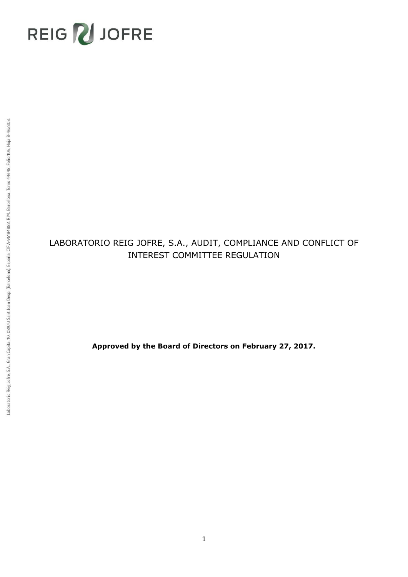# REIG NJOFRE

## LABORATORIO REIG JOFRE, S.A., AUDIT, COMPLIANCE AND CONFLICT OF INTEREST COMMITTEE REGULATION

**Approved by the Board of Directors on February 27, 2017.**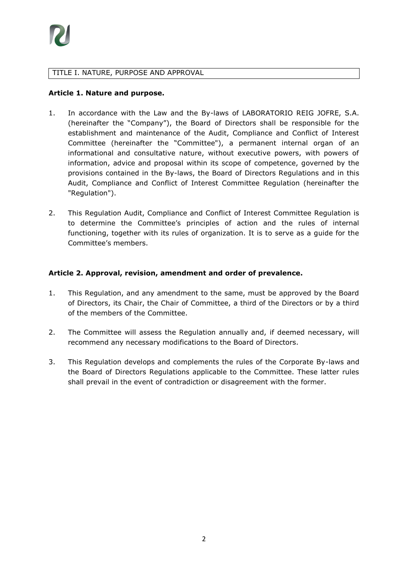

#### TITLE I. NATURE, PURPOSE AND APPROVAL

#### **Article 1. Nature and purpose.**

- 1. In accordance with the Law and the By-laws of LABORATORIO REIG JOFRE, S.A. (hereinafter the "Company"), the Board of Directors shall be responsible for the establishment and maintenance of the Audit, Compliance and Conflict of Interest Committee (hereinafter the "Committee"), a permanent internal organ of an informational and consultative nature, without executive powers, with powers of information, advice and proposal within its scope of competence, governed by the provisions contained in the By-laws, the Board of Directors Regulations and in this Audit, Compliance and Conflict of Interest Committee Regulation (hereinafter the "Regulation").
- 2. This Regulation Audit, Compliance and Conflict of Interest Committee Regulation is to determine the Committee's principles of action and the rules of internal functioning, together with its rules of organization. It is to serve as a guide for the Committee's members.

#### **Article 2. Approval, revision, amendment and order of prevalence.**

- 1. This Regulation, and any amendment to the same, must be approved by the Board of Directors, its Chair, the Chair of Committee, a third of the Directors or by a third of the members of the Committee.
- 2. The Committee will assess the Regulation annually and, if deemed necessary, will recommend any necessary modifications to the Board of Directors.
- 3. This Regulation develops and complements the rules of the Corporate By-laws and the Board of Directors Regulations applicable to the Committee. These latter rules shall prevail in the event of contradiction or disagreement with the former.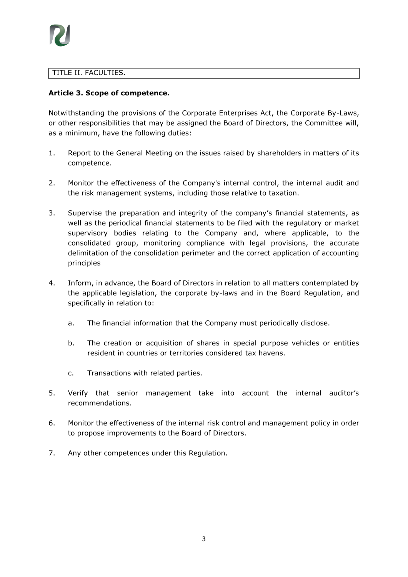## TITLE II. FACULTIES.

## **Article 3. Scope of competence.**

Notwithstanding the provisions of the Corporate Enterprises Act, the Corporate By-Laws, or other responsibilities that may be assigned the Board of Directors, the Committee will, as a minimum, have the following duties:

- 1. Report to the General Meeting on the issues raised by shareholders in matters of its competence.
- 2. Monitor the effectiveness of the Company's internal control, the internal audit and the risk management systems, including those relative to taxation.
- 3. Supervise the preparation and integrity of the company's financial statements, as well as the periodical financial statements to be filed with the regulatory or market supervisory bodies relating to the Company and, where applicable, to the consolidated group, monitoring compliance with legal provisions, the accurate delimitation of the consolidation perimeter and the correct application of accounting principles
- 4. Inform, in advance, the Board of Directors in relation to all matters contemplated by the applicable legislation, the corporate by-laws and in the Board Regulation, and specifically in relation to:
	- a. The financial information that the Company must periodically disclose.
	- b. The creation or acquisition of shares in special purpose vehicles or entities resident in countries or territories considered tax havens.
	- c. Transactions with related parties.
- 5. Verify that senior management take into account the internal auditor's recommendations.
- 6. Monitor the effectiveness of the internal risk control and management policy in order to propose improvements to the Board of Directors.
- 7. Any other competences under this Regulation.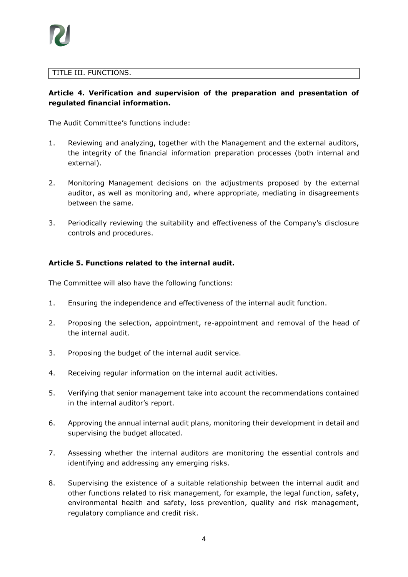## TITLE III. FUNCTIONS.

## **Article 4. Verification and supervision of the preparation and presentation of regulated financial information.**

The Audit Committee's functions include:

- 1. Reviewing and analyzing, together with the Management and the external auditors, the integrity of the financial information preparation processes (both internal and external).
- 2. Monitoring Management decisions on the adjustments proposed by the external auditor, as well as monitoring and, where appropriate, mediating in disagreements between the same.
- 3. Periodically reviewing the suitability and effectiveness of the Company's disclosure controls and procedures.

## **Article 5. Functions related to the internal audit.**

The Committee will also have the following functions:

- 1. Ensuring the independence and effectiveness of the internal audit function.
- 2. Proposing the selection, appointment, re-appointment and removal of the head of the internal audit.
- 3. Proposing the budget of the internal audit service.
- 4. Receiving regular information on the internal audit activities.
- 5. Verifying that senior management take into account the recommendations contained in the internal auditor's report.
- 6. Approving the annual internal audit plans, monitoring their development in detail and supervising the budget allocated.
- 7. Assessing whether the internal auditors are monitoring the essential controls and identifying and addressing any emerging risks.
- 8. Supervising the existence of a suitable relationship between the internal audit and other functions related to risk management, for example, the legal function, safety, environmental health and safety, loss prevention, quality and risk management, regulatory compliance and credit risk.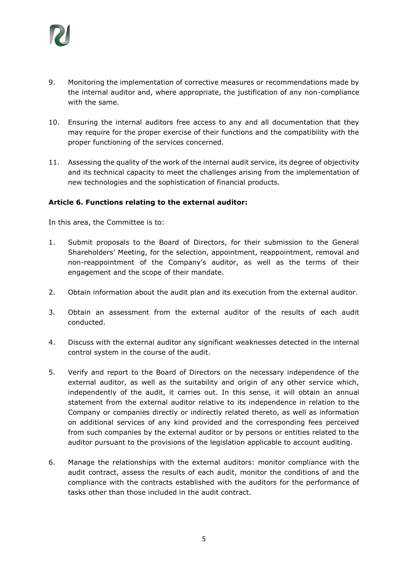

- 9. Monitoring the implementation of corrective measures or recommendations made by the internal auditor and, where appropriate, the justification of any non-compliance with the same.
- 10. Ensuring the internal auditors free access to any and all documentation that they may require for the proper exercise of their functions and the compatibility with the proper functioning of the services concerned.
- 11. Assessing the quality of the work of the internal audit service, its degree of objectivity and its technical capacity to meet the challenges arising from the implementation of new technologies and the sophistication of financial products.

#### **Article 6. Functions relating to the external auditor:**

In this area, the Committee is to:

- 1. Submit proposals to the Board of Directors, for their submission to the General Shareholders' Meeting, for the selection, appointment, reappointment, removal and non-reappointment of the Company's auditor, as well as the terms of their engagement and the scope of their mandate.
- 2. Obtain information about the audit plan and its execution from the external auditor.
- 3. Obtain an assessment from the external auditor of the results of each audit conducted.
- 4. Discuss with the external auditor any significant weaknesses detected in the internal control system in the course of the audit.
- 5. Verify and report to the Board of Directors on the necessary independence of the external auditor, as well as the suitability and origin of any other service which, independently of the audit, it carries out. In this sense, it will obtain an annual statement from the external auditor relative to its independence in relation to the Company or companies directly or indirectly related thereto, as well as information on additional services of any kind provided and the corresponding fees perceived from such companies by the external auditor or by persons or entities related to the auditor pursuant to the provisions of the legislation applicable to account auditing.
- 6. Manage the relationships with the external auditors: monitor compliance with the audit contract, assess the results of each audit, monitor the conditions of and the compliance with the contracts established with the auditors for the performance of tasks other than those included in the audit contract.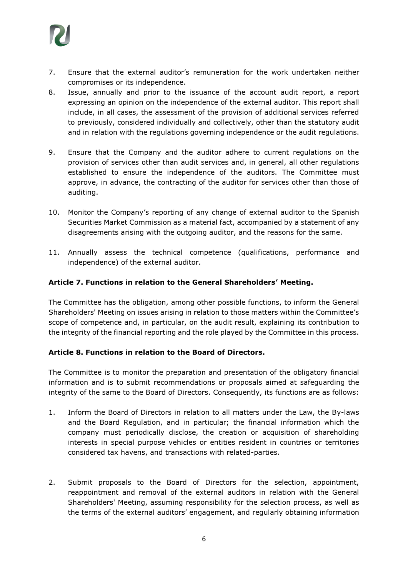

- 7. Ensure that the external auditor's remuneration for the work undertaken neither compromises or its independence.
- 8. Issue, annually and prior to the issuance of the account audit report, a report expressing an opinion on the independence of the external auditor. This report shall include, in all cases, the assessment of the provision of additional services referred to previously, considered individually and collectively, other than the statutory audit and in relation with the regulations governing independence or the audit regulations.
- 9. Ensure that the Company and the auditor adhere to current regulations on the provision of services other than audit services and, in general, all other regulations established to ensure the independence of the auditors. The Committee must approve, in advance, the contracting of the auditor for services other than those of auditing.
- 10. Monitor the Company's reporting of any change of external auditor to the Spanish Securities Market Commission as a material fact, accompanied by a statement of any disagreements arising with the outgoing auditor, and the reasons for the same.
- 11. Annually assess the technical competence (qualifications, performance and independence) of the external auditor.

## **Article 7. Functions in relation to the General Shareholders' Meeting.**

The Committee has the obligation, among other possible functions, to inform the General Shareholders' Meeting on issues arising in relation to those matters within the Committee's scope of competence and, in particular, on the audit result, explaining its contribution to the integrity of the financial reporting and the role played by the Committee in this process.

#### **Article 8. Functions in relation to the Board of Directors.**

The Committee is to monitor the preparation and presentation of the obligatory financial information and is to submit recommendations or proposals aimed at safeguarding the integrity of the same to the Board of Directors. Consequently, its functions are as follows:

- 1. Inform the Board of Directors in relation to all matters under the Law, the By-laws and the Board Regulation, and in particular; the financial information which the company must periodically disclose, the creation or acquisition of shareholding interests in special purpose vehicles or entities resident in countries or territories considered tax havens, and transactions with related-parties.
- 2. Submit proposals to the Board of Directors for the selection, appointment, reappointment and removal of the external auditors in relation with the General Shareholders' Meeting, assuming responsibility for the selection process, as well as the terms of the external auditors' engagement, and regularly obtaining information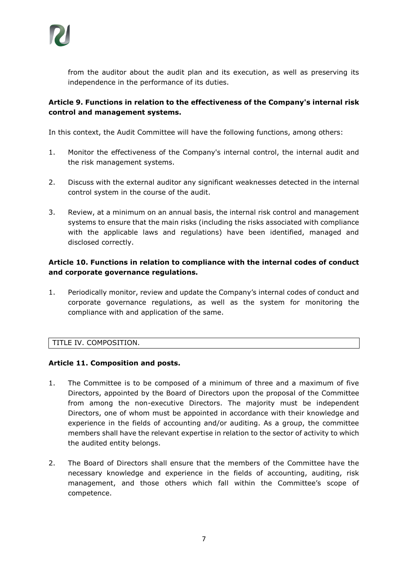from the auditor about the audit plan and its execution, as well as preserving its independence in the performance of its duties.

## **Article 9. Functions in relation to the effectiveness of the Company's internal risk control and management systems.**

In this context, the Audit Committee will have the following functions, among others:

- 1. Monitor the effectiveness of the Company's internal control, the internal audit and the risk management systems.
- 2. Discuss with the external auditor any significant weaknesses detected in the internal control system in the course of the audit.
- 3. Review, at a minimum on an annual basis, the internal risk control and management systems to ensure that the main risks (including the risks associated with compliance with the applicable laws and regulations) have been identified, managed and disclosed correctly.

## **Article 10. Functions in relation to compliance with the internal codes of conduct and corporate governance regulations.**

1. Periodically monitor, review and update the Company's internal codes of conduct and corporate governance regulations, as well as the system for monitoring the compliance with and application of the same.

## TITLE IV. COMPOSITION.

## **Article 11. Composition and posts.**

- 1. The Committee is to be composed of a minimum of three and a maximum of five Directors, appointed by the Board of Directors upon the proposal of the Committee from among the non-executive Directors. The majority must be independent Directors, one of whom must be appointed in accordance with their knowledge and experience in the fields of accounting and/or auditing. As a group, the committee members shall have the relevant expertise in relation to the sector of activity to which the audited entity belongs.
- 2. The Board of Directors shall ensure that the members of the Committee have the necessary knowledge and experience in the fields of accounting, auditing, risk management, and those others which fall within the Committee's scope of competence.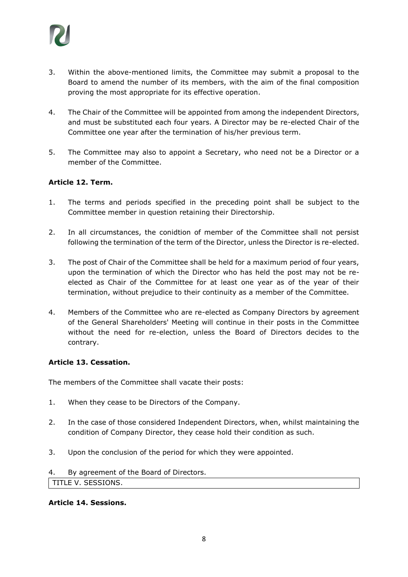

- 3. Within the above-mentioned limits, the Committee may submit a proposal to the Board to amend the number of its members, with the aim of the final composition proving the most appropriate for its effective operation.
- 4. The Chair of the Committee will be appointed from among the independent Directors, and must be substituted each four years. A Director may be re-elected Chair of the Committee one year after the termination of his/her previous term.
- 5. The Committee may also to appoint a Secretary, who need not be a Director or a member of the Committee.

## **Article 12. Term.**

- 1. The terms and periods specified in the preceding point shall be subject to the Committee member in question retaining their Directorship.
- 2. In all circumstances, the conidtion of member of the Committee shall not persist following the termination of the term of the Director, unless the Director is re-elected.
- 3. The post of Chair of the Committee shall be held for a maximum period of four years, upon the termination of which the Director who has held the post may not be reelected as Chair of the Committee for at least one year as of the year of their termination, without prejudice to their continuity as a member of the Committee.
- 4. Members of the Committee who are re-elected as Company Directors by agreement of the General Shareholders' Meeting will continue in their posts in the Committee without the need for re-election, unless the Board of Directors decides to the contrary.

#### **Article 13. Cessation.**

The members of the Committee shall vacate their posts:

- 1. When they cease to be Directors of the Company.
- 2. In the case of those considered Independent Directors, when, whilst maintaining the condition of Company Director, they cease hold their condition as such.
- 3. Upon the conclusion of the period for which they were appointed.
- 4. By agreement of the Board of Directors.

TITLE V. SESSIONS.

#### **Article 14. Sessions.**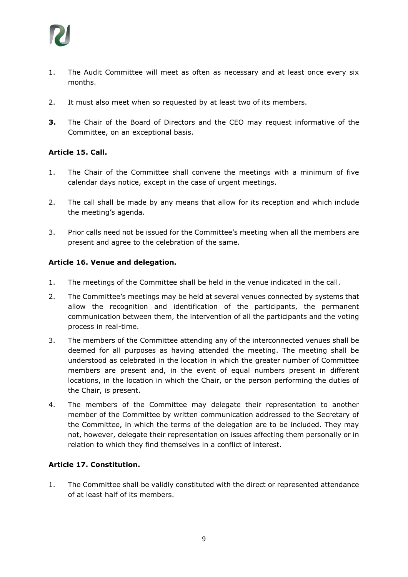

- 1. The Audit Committee will meet as often as necessary and at least once every six months.
- 2. It must also meet when so requested by at least two of its members.
- **3.** The Chair of the Board of Directors and the CEO may request informative of the Committee, on an exceptional basis.

## **Article 15. Call.**

- 1. The Chair of the Committee shall convene the meetings with a minimum of five calendar days notice, except in the case of urgent meetings.
- 2. The call shall be made by any means that allow for its reception and which include the meeting's agenda.
- 3. Prior calls need not be issued for the Committee's meeting when all the members are present and agree to the celebration of the same.

## **Article 16. Venue and delegation.**

- 1. The meetings of the Committee shall be held in the venue indicated in the call.
- 2. The Committee's meetings may be held at several venues connected by systems that allow the recognition and identification of the participants, the permanent communication between them, the intervention of all the participants and the voting process in real-time.
- 3. The members of the Committee attending any of the interconnected venues shall be deemed for all purposes as having attended the meeting. The meeting shall be understood as celebrated in the location in which the greater number of Committee members are present and, in the event of equal numbers present in different locations, in the location in which the Chair, or the person performing the duties of the Chair, is present.
- 4. The members of the Committee may delegate their representation to another member of the Committee by written communication addressed to the Secretary of the Committee, in which the terms of the delegation are to be included. They may not, however, delegate their representation on issues affecting them personally or in relation to which they find themselves in a conflict of interest.

## **Article 17. Constitution.**

1. The Committee shall be validly constituted with the direct or represented attendance of at least half of its members.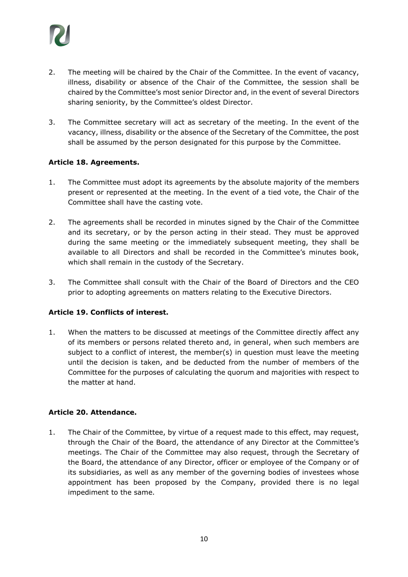

- 2. The meeting will be chaired by the Chair of the Committee. In the event of vacancy, illness, disability or absence of the Chair of the Committee, the session shall be chaired by the Committee's most senior Director and, in the event of several Directors sharing seniority, by the Committee's oldest Director.
- 3. The Committee secretary will act as secretary of the meeting. In the event of the vacancy, illness, disability or the absence of the Secretary of the Committee, the post shall be assumed by the person designated for this purpose by the Committee.

## **Article 18. Agreements.**

- 1. The Committee must adopt its agreements by the absolute majority of the members present or represented at the meeting. In the event of a tied vote, the Chair of the Committee shall have the casting vote.
- 2. The agreements shall be recorded in minutes signed by the Chair of the Committee and its secretary, or by the person acting in their stead. They must be approved during the same meeting or the immediately subsequent meeting, they shall be available to all Directors and shall be recorded in the Committee's minutes book, which shall remain in the custody of the Secretary.
- 3. The Committee shall consult with the Chair of the Board of Directors and the CEO prior to adopting agreements on matters relating to the Executive Directors.

#### **Article 19. Conflicts of interest.**

1. When the matters to be discussed at meetings of the Committee directly affect any of its members or persons related thereto and, in general, when such members are subject to a conflict of interest, the member(s) in question must leave the meeting until the decision is taken, and be deducted from the number of members of the Committee for the purposes of calculating the quorum and majorities with respect to the matter at hand.

#### **Article 20. Attendance.**

1. The Chair of the Committee, by virtue of a request made to this effect, may request, through the Chair of the Board, the attendance of any Director at the Committee's meetings. The Chair of the Committee may also request, through the Secretary of the Board, the attendance of any Director, officer or employee of the Company or of its subsidiaries, as well as any member of the governing bodies of investees whose appointment has been proposed by the Company, provided there is no legal impediment to the same.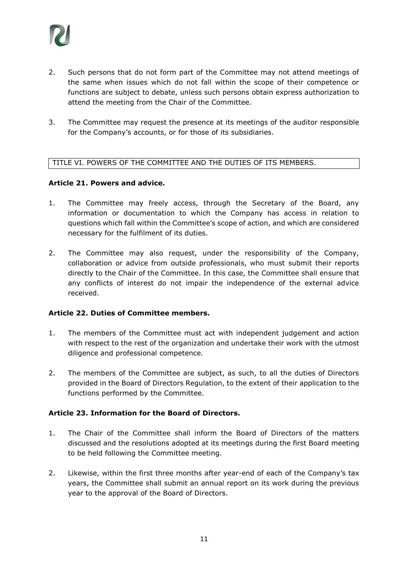

- 2. Such persons that do not form part of the Committee may not attend meetings of the same when issues which do not fall within the scope of their competence or functions are subject to debate, unless such persons obtain express authorization to attend the meeting from the Chair of the Committee.
- 3. The Committee may request the presence at its meetings of the auditor responsible for the Company's accounts, or for those of its subsidiaries.

#### TITLE VI. POWERS OF THE COMMITTEE AND THE DUTIES OF ITS MEMBERS.

#### **Article 21. Powers and advice.**

- 1. The Committee may freely access, through the Secretary of the Board, any information or documentation to which the Company has access in relation to questions which fall within the Committee's scope of action, and which are considered necessary for the fulfilment of its duties.
- 2. The Committee may also request, under the responsibility of the Company, collaboration or advice from outside professionals, who must submit their reports directly to the Chair of the Committee. In this case, the Committee shall ensure that any conflicts of interest do not impair the independence of the external advice received.

## **Article 22. Duties of Committee members.**

- 1. The members of the Committee must act with independent judgement and action with respect to the rest of the organization and undertake their work with the utmost diligence and professional competence.
- 2. The members of the Committee are subject, as such, to all the duties of Directors provided in the Board of Directors Regulation, to the extent of their application to the functions performed by the Committee.

#### **Article 23. Information for the Board of Directors.**

- 1. The Chair of the Committee shall inform the Board of Directors of the matters discussed and the resolutions adopted at its meetings during the first Board meeting to be held following the Committee meeting.
- 2. Likewise, within the first three months after year-end of each of the Company's tax years, the Committee shall submit an annual report on its work during the previous year to the approval of the Board of Directors.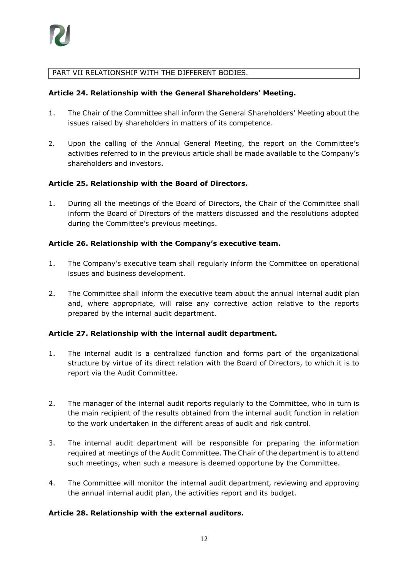## PART VII RELATIONSHIP WITH THE DIFFERENT BODIES.

#### **Article 24. Relationship with the General Shareholders' Meeting.**

- 1. The Chair of the Committee shall inform the General Shareholders' Meeting about the issues raised by shareholders in matters of its competence.
- 2. Upon the calling of the Annual General Meeting, the report on the Committee's activities referred to in the previous article shall be made available to the Company's shareholders and investors.

## **Article 25. Relationship with the Board of Directors.**

1. During all the meetings of the Board of Directors, the Chair of the Committee shall inform the Board of Directors of the matters discussed and the resolutions adopted during the Committee's previous meetings.

## **Article 26. Relationship with the Company's executive team.**

- 1. The Company's executive team shall regularly inform the Committee on operational issues and business development.
- 2. The Committee shall inform the executive team about the annual internal audit plan and, where appropriate, will raise any corrective action relative to the reports prepared by the internal audit department.

#### **Article 27. Relationship with the internal audit department.**

- 1. The internal audit is a centralized function and forms part of the organizational structure by virtue of its direct relation with the Board of Directors, to which it is to report via the Audit Committee.
- 2. The manager of the internal audit reports regularly to the Committee, who in turn is the main recipient of the results obtained from the internal audit function in relation to the work undertaken in the different areas of audit and risk control.
- 3. The internal audit department will be responsible for preparing the information required at meetings of the Audit Committee. The Chair of the department is to attend such meetings, when such a measure is deemed opportune by the Committee.
- 4. The Committee will monitor the internal audit department, reviewing and approving the annual internal audit plan, the activities report and its budget.

## **Article 28. Relationship with the external auditors.**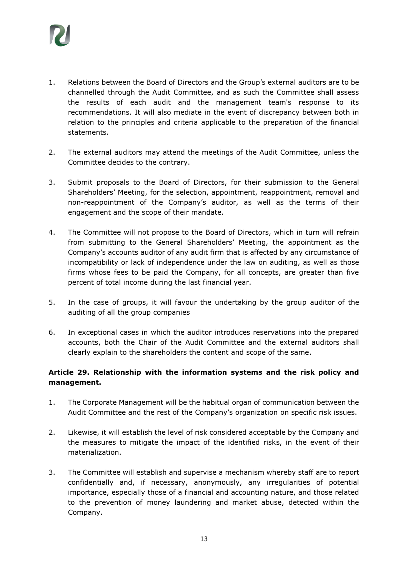

- 1. Relations between the Board of Directors and the Group's external auditors are to be channelled through the Audit Committee, and as such the Committee shall assess the results of each audit and the management team's response to its recommendations. It will also mediate in the event of discrepancy between both in relation to the principles and criteria applicable to the preparation of the financial statements.
- 2. The external auditors may attend the meetings of the Audit Committee, unless the Committee decides to the contrary.
- 3. Submit proposals to the Board of Directors, for their submission to the General Shareholders' Meeting, for the selection, appointment, reappointment, removal and non-reappointment of the Company's auditor, as well as the terms of their engagement and the scope of their mandate.
- 4. The Committee will not propose to the Board of Directors, which in turn will refrain from submitting to the General Shareholders' Meeting, the appointment as the Company's accounts auditor of any audit firm that is affected by any circumstance of incompatibility or lack of independence under the law on auditing, as well as those firms whose fees to be paid the Company, for all concepts, are greater than five percent of total income during the last financial year.
- 5. In the case of groups, it will favour the undertaking by the group auditor of the auditing of all the group companies
- 6. In exceptional cases in which the auditor introduces reservations into the prepared accounts, both the Chair of the Audit Committee and the external auditors shall clearly explain to the shareholders the content and scope of the same.

## **Article 29. Relationship with the information systems and the risk policy and management.**

- 1. The Corporate Management will be the habitual organ of communication between the Audit Committee and the rest of the Company's organization on specific risk issues.
- 2. Likewise, it will establish the level of risk considered acceptable by the Company and the measures to mitigate the impact of the identified risks, in the event of their materialization.
- 3. The Committee will establish and supervise a mechanism whereby staff are to report confidentially and, if necessary, anonymously, any irregularities of potential importance, especially those of a financial and accounting nature, and those related to the prevention of money laundering and market abuse, detected within the Company.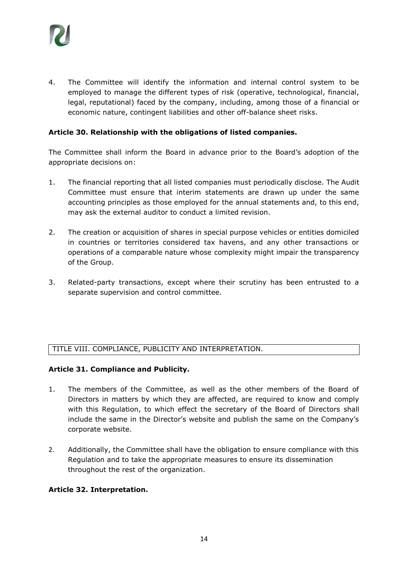

4. The Committee will identify the information and internal control system to be employed to manage the different types of risk (operative, technological, financial, legal, reputational) faced by the company, including, among those of a financial or economic nature, contingent liabilities and other off-balance sheet risks.

#### **Article 30. Relationship with the obligations of listed companies.**

The Committee shall inform the Board in advance prior to the Board's adoption of the appropriate decisions on:

- 1. The financial reporting that all listed companies must periodically disclose. The Audit Committee must ensure that interim statements are drawn up under the same accounting principles as those employed for the annual statements and, to this end, may ask the external auditor to conduct a limited revision.
- 2. The creation or acquisition of shares in special purpose vehicles or entities domiciled in countries or territories considered tax havens, and any other transactions or operations of a comparable nature whose complexity might impair the transparency of the Group.
- 3. Related-party transactions, except where their scrutiny has been entrusted to a separate supervision and control committee.

#### TITLE VIII. COMPLIANCE, PUBLICITY AND INTERPRETATION.

#### **Article 31. Compliance and Publicity.**

- 1. The members of the Committee, as well as the other members of the Board of Directors in matters by which they are affected, are required to know and comply with this Regulation, to which effect the secretary of the Board of Directors shall include the same in the Director's website and publish the same on the Company's corporate website.
- 2. Additionally, the Committee shall have the obligation to ensure compliance with this Regulation and to take the appropriate measures to ensure its dissemination throughout the rest of the organization.

#### **Article 32. Interpretation.**